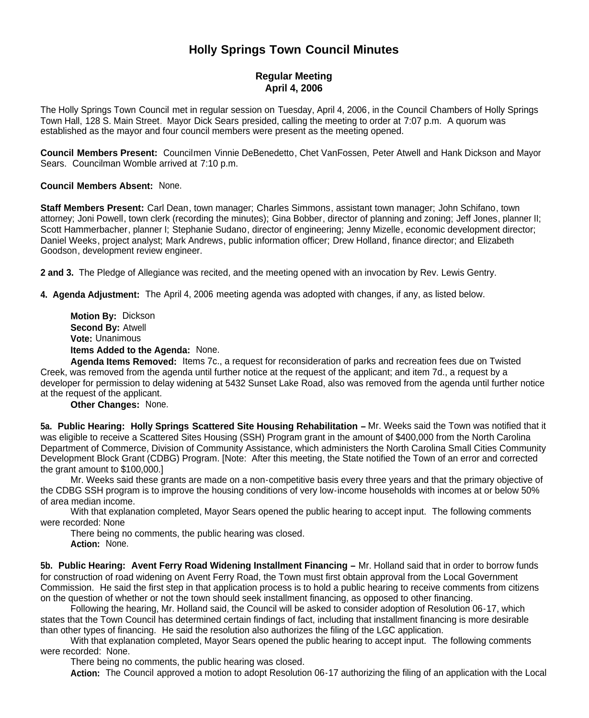## **Holly Springs Town Council Minutes**

## **Regular Meeting April 4, 2006**

The Holly Springs Town Council met in regular session on Tuesday, April 4, 2006, in the Council Chambers of Holly Springs Town Hall, 128 S. Main Street. Mayor Dick Sears presided, calling the meeting to order at 7:07 p.m. A quorum was established as the mayor and four council members were present as the meeting opened.

**Council Members Present:** Councilmen Vinnie DeBenedetto, Chet VanFossen, Peter Atwell and Hank Dickson and Mayor Sears. Councilman Womble arrived at 7:10 p.m.

## **Council Members Absent:** None.

**Staff Members Present:** Carl Dean, town manager; Charles Simmons, assistant town manager; John Schifano, town attorney; Joni Powell, town clerk (recording the minutes); Gina Bobber, director of planning and zoning; Jeff Jones, planner II; Scott Hammerbacher, planner I; Stephanie Sudano, director of engineering; Jenny Mizelle, economic development director; Daniel Weeks, project analyst; Mark Andrews, public information officer; Drew Holland, finance director; and Elizabeth Goodson, development review engineer.

**2 and 3.** The Pledge of Allegiance was recited, and the meeting opened with an invocation by Rev. Lewis Gentry.

**4. Agenda Adjustment:** The April 4, 2006 meeting agenda was adopted with changes, if any, as listed below.

**Motion By:** Dickson **Second By:** Atwell **Vote:** Unanimous **Items Added to the Agenda:** None.

**Agenda Items Removed:** Items 7c., a request for reconsideration of parks and recreation fees due on Twisted Creek, was removed from the agenda until further notice at the request of the applicant; and item 7d., a request by a developer for permission to delay widening at 5432 Sunset Lake Road, also was removed from the agenda until further notice at the request of the applicant.

**Other Changes:** None.

**5a. Public Hearing: Holly Springs Scattered Site Housing Rehabilitation – Mr. Weeks said the Town was notified that it** was eligible to receive a Scattered Sites Housing (SSH) Program grant in the amount of \$400,000 from the North Carolina Department of Commerce, Division of Community Assistance, which administers the North Carolina Small Cities Community Development Block Grant (CDBG) Program. [Note: After this meeting, the State notified the Town of an error and corrected the grant amount to \$100,000.]

Mr. Weeks said these grants are made on a non-competitive basis every three years and that the primary objective of the CDBG SSH program is to improve the housing conditions of very low-income households with incomes at or below 50% of area median income.

With that explanation completed, Mayor Sears opened the public hearing to accept input. The following comments were recorded: None

There being no comments, the public hearing was closed. **Action:** None.

**5b. Public Hearing: Avent Ferry Road Widening Installment Financing –** Mr. Holland said that in order to borrow funds for construction of road widening on Avent Ferry Road, the Town must first obtain approval from the Local Government Commission. He said the first step in that application process is to hold a public hearing to receive comments from citizens on the question of whether or not the town should seek installment financing, as opposed to other financing.

Following the hearing, Mr. Holland said, the Council will be asked to consider adoption of Resolution 06-17, which states that the Town Council has determined certain findings of fact, including that installment financing is more desirable than other types of financing. He said the resolution also authorizes the filing of the LGC application.

With that explanation completed, Mayor Sears opened the public hearing to accept input. The following comments were recorded: None.

There being no comments, the public hearing was closed.

**Action:** The Council approved a motion to adopt Resolution 06-17 authorizing the filing of an application with the Local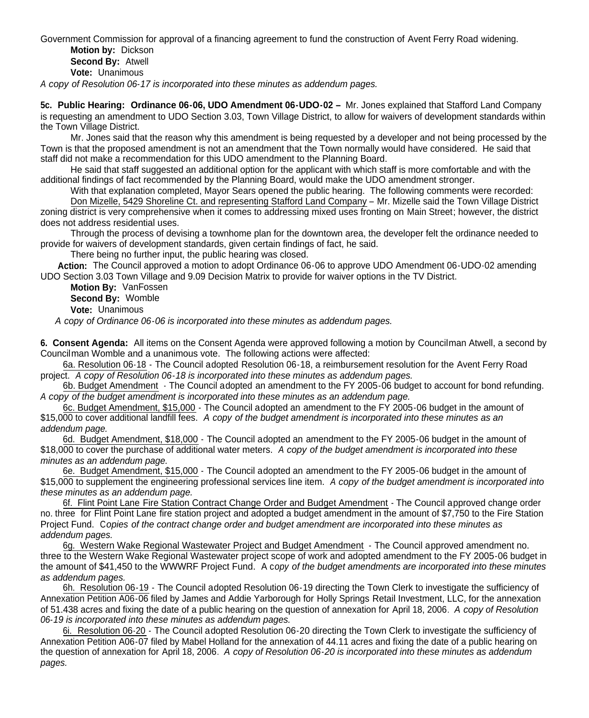Government Commission for approval of a financing agreement to fund the construction of Avent Ferry Road widening.

**Motion by:** Dickson **Second By:** Atwell **Vote:** Unanimous

*A copy of Resolution 06-17 is incorporated into these minutes as addendum pages.*

**5c. Public Hearing: Ordinance 06-06, UDO Amendment 06-UDO-02 –** Mr. Jones explained that Stafford Land Company is requesting an amendment to UDO Section 3.03, Town Village District, to allow for waivers of development standards within the Town Village District.

Mr. Jones said that the reason why this amendment is being requested by a developer and not being processed by the Town is that the proposed amendment is not an amendment that the Town normally would have considered. He said that staff did not make a recommendation for this UDO amendment to the Planning Board.

He said that staff suggested an additional option for the applicant with which staff is more comfortable and with the additional findings of fact recommended by the Planning Board, would make the UDO amendment stronger.

With that explanation completed, Mayor Sears opened the public hearing. The following comments were recorded: Don Mizelle, 5429 Shoreline Ct. and representing Stafford Land Company – Mr. Mizelle said the Town Village District zoning district is very comprehensive when it comes to addressing mixed uses fronting on Main Street; however, the district does not address residential uses.

Through the process of devising a townhome plan for the downtown area, the developer felt the ordinance needed to provide for waivers of development standards, given certain findings of fact, he said.

There being no further input, the public hearing was closed.

**Action:** The Council approved a motion to adopt Ordinance 06-06 to approve UDO Amendment 06-UDO-02 amending UDO Section 3.03 Town Village and 9.09 Decision Matrix to provide for waiver options in the TV District.

**Motion By:** VanFossen **Second By:** Womble **Vote:** Unanimous

*A copy of Ordinance 06-06 is incorporated into these minutes as addendum pages.*

**6. Consent Agenda:** All items on the Consent Agenda were approved following a motion by Councilman Atwell, a second by Councilman Womble and a unanimous vote. The following actions were affected:

6a. Resolution 06-18 - The Council adopted Resolution 06-18, a reimbursement resolution for the Avent Ferry Road project. *A copy of Resolution 06-18 is incorporated into these minutes as addendum pages.*

6b. Budget Amendment - The Council adopted an amendment to the FY 2005-06 budget to account for bond refunding. *A copy of the budget amendment is incorporated into these minutes as an addendum page.*

6c. Budget Amendment, \$15,000 - The Council adopted an amendment to the FY 2005-06 budget in the amount of \$15,000 to cover additional landfill fees. *A copy of the budget amendment is incorporated into these minutes as an addendum page.*

6d. Budget Amendment, \$18,000 - The Council adopted an amendment to the FY 2005-06 budget in the amount of \$18,000 to cover the purchase of additional water meters. *A copy of the budget amendment is incorporated into these minutes as an addendum page.*

6e. Budget Amendment, \$15,000 - The Council adopted an amendment to the FY 2005-06 budget in the amount of \$15,000 to supplement the engineering professional services line item. *A copy of the budget amendment is incorporated into these minutes as an addendum page.*

6f. Flint Point Lane Fire Station Contract Change Order and Budget Amendment - The Council approved change order no. three for Flint Point Lane fire station project and adopted a budget amendment in the amount of \$7,750 to the Fire Station Project Fund. C*opies of the contract change order and budget amendment are incorporated into these minutes as addendum pages.*

6g. Western Wake Regional Wastewater Project and Budget Amendment - The Council approved amendment no. three to the Western Wake Regional Wastewater project scope of work and adopted amendment to the FY 2005-06 budget in the amount of \$41,450 to the WWWRF Project Fund. A c*opy of the budget amendments are incorporated into these minutes as addendum pages.*

6h. Resolution 06-19 - The Council adopted Resolution 06-19 directing the Town Clerk to investigate the sufficiency of Annexation Petition A06-06 filed by James and Addie Yarborough for Holly Springs Retail Investment, LLC, for the annexation of 51.438 acres and fixing the date of a public hearing on the question of annexation for April 18, 2006. *A copy of Resolution 06-19 is incorporated into these minutes as addendum pages.*

6i. Resolution 06-20 - The Council adopted Resolution 06-20 directing the Town Clerk to investigate the sufficiency of Annexation Petition A06-07 filed by Mabel Holland for the annexation of 44.11 acres and fixing the date of a public hearing on the question of annexation for April 18, 2006. *A copy of Resolution 06-20 is incorporated into these minutes as addendum pages.*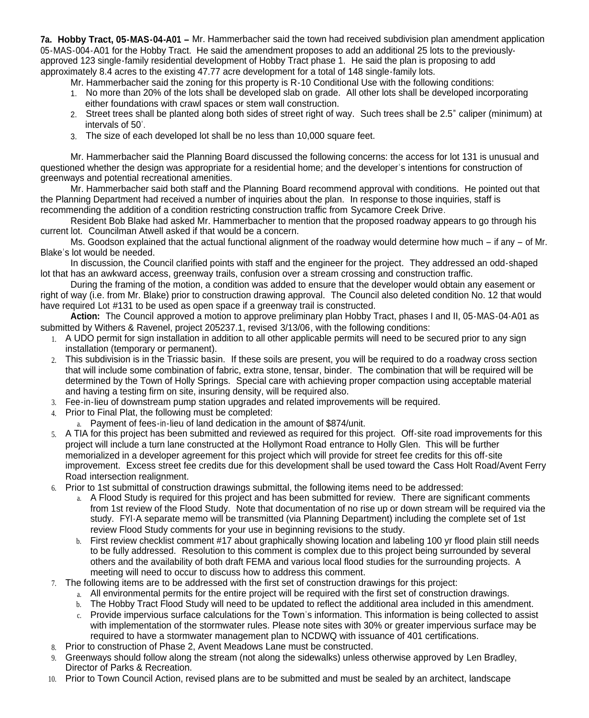**7a. Hobby Tract, 05-MAS-04-A01 –** Mr. Hammerbacher said the town had received subdivision plan amendment application 05-MAS-004-A01 for the Hobby Tract. He said the amendment proposes to add an additional 25 lots to the previouslyapproved 123 single-family residential development of Hobby Tract phase 1. He said the plan is proposing to add approximately 8.4 acres to the existing 47.77 acre development for a total of 148 single-family lots.

Mr. Hammerbacher said the zoning for this property is R-10 Conditional Use with the following conditions:

- 1. No more than 20% of the lots shall be developed slab on grade. All other lots shall be developed incorporating either foundations with crawl spaces or stem wall construction.
- 2. Street trees shall be planted along both sides of street right of way. Such trees shall be 2.5" caliper (minimum) at intervals of 50'.
- 3. The size of each developed lot shall be no less than 10,000 square feet.

Mr. Hammerbacher said the Planning Board discussed the following concerns: the access for lot 131 is unusual and questioned whether the design was appropriate for a residential home: and the developer's intentions for construction of greenways and potential recreational amenities.

Mr. Hammerbacher said both staff and the Planning Board recommend approval with conditions. He pointed out that the Planning Department had received a number of inquiries about the plan. In response to those inquiries, staff is recommending the addition of a condition restricting construction traffic from Sycamore Creek Drive.

Resident Bob Blake had asked Mr. Hammerbacher to mention that the proposed roadway appears to go through his current lot. Councilman Atwell asked if that would be a concern.

Ms. Goodson explained that the actual functional alignment of the roadway would determine how much – if any – of Mr. Blake's lot would be needed.

In discussion, the Council clarified points with staff and the engineer for the project. They addressed an odd-shaped lot that has an awkward access, greenway trails, confusion over a stream crossing and construction traffic.

During the framing of the motion, a condition was added to ensure that the developer would obtain any easement or right of way (i.e. from Mr. Blake) prior to construction drawing approval. The Council also deleted condition No. 12 that would have required Lot #131 to be used as open space if a greenway trail is constructed.

**Action:** The Council approved a motion to approve preliminary plan Hobby Tract, phases I and II, 05-MAS-04-A01 as submitted by Withers & Ravenel, project 205237.1, revised 3/13/06, with the following conditions:

- 1. A UDO permit for sign installation in addition to all other applicable permits will need to be secured prior to any sign installation (temporary or permanent).
- 2. This subdivision is in the Triassic basin. If these soils are present, you will be required to do a roadway cross section that will include some combination of fabric, extra stone, tensar, binder. The combination that will be required will be determined by the Town of Holly Springs. Special care with achieving proper compaction using acceptable material and having a testing firm on site, insuring density, will be required also.
- 3. Fee-in-lieu of downstream pump station upgrades and related improvements will be required.
- 4. Prior to Final Plat, the following must be completed:
	- a. Payment of fees-in-lieu of land dedication in the amount of \$874/unit.
- 5. A TIA for this project has been submitted and reviewed as required for this project. Off-site road improvements for this project will include a turn lane constructed at the Hollymont Road entrance to Holly Glen. This will be further memorialized in a developer agreement for this project which will provide for street fee credits for this off-site improvement. Excess street fee credits due for this development shall be used toward the Cass Holt Road/Avent Ferry Road intersection realignment.
- 6. Prior to 1st submittal of construction drawings submittal, the following items need to be addressed:
	- a. A Flood Study is required for this project and has been submitted for review. There are significant comments from 1st review of the Flood Study. Note that documentation of no rise up or down stream will be required via the study. FYI-A separate memo will be transmitted (via Planning Department) including the complete set of 1st review Flood Study comments for your use in beginning revisions to the study.
	- b. First review checklist comment #17 about graphically showing location and labeling 100 yr flood plain still needs to be fully addressed. Resolution to this comment is complex due to this project being surrounded by several others and the availability of both draft FEMA and various local flood studies for the surrounding projects. A meeting will need to occur to discuss how to address this comment.
- 7. The following items are to be addressed with the first set of construction drawings for this project:
	- a. All environmental permits for the entire project will be required with the first set of construction drawings.
	- b. The Hobby Tract Flood Study will need to be updated to reflect the additional area included in this amendment.
	- c. Provide impervious surface calculations for the Town's information. This information is being collected to assist with implementation of the stormwater rules. Please note sites with 30% or greater impervious surface may be required to have a stormwater management plan to NCDWQ with issuance of 401 certifications.
- 8. Prior to construction of Phase 2, Avent Meadows Lane must be constructed.
- 9. Greenways should follow along the stream (not along the sidewalks) unless otherwise approved by Len Bradley, Director of Parks & Recreation.
- 10. Prior to Town Council Action, revised plans are to be submitted and must be sealed by an architect, landscape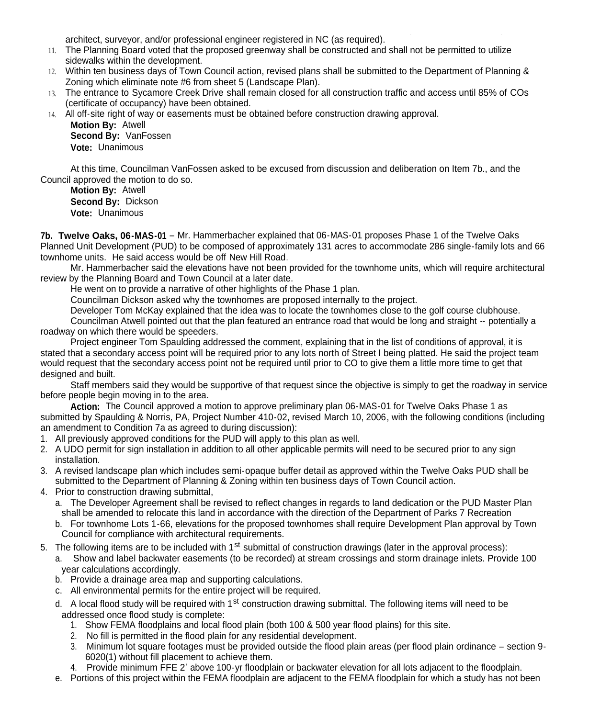architect, surveyor, and/or professional engineer registered in NC (as required).

- 11. The Planning Board voted that the proposed greenway shall be constructed and shall not be permitted to utilize sidewalks within the development.
- 12. Within ten business days of Town Council action, revised plans shall be submitted to the Department of Planning & Zoning which eliminate note #6 from sheet 5 (Landscape Plan).
- 13. The entrance to Sycamore Creek Drive shall remain closed for all construction traffic and access until 85% of COs (certificate of occupancy) have been obtained.

14. All off-site right of way or easements must be obtained before construction drawing approval. **Motion By:** Atwell **Second By:** VanFossen

**Vote:** Unanimous

At this time, Councilman VanFossen asked to be excused from discussion and deliberation on Item 7b., and the Council approved the motion to do so.

**Motion By:** Atwell **Second By:** Dickson **Vote:** Unanimous

**7b. Twelve Oaks, 06-MAS-01** – Mr. Hammerbacher explained that 06-MAS-01 proposes Phase 1 of the Twelve Oaks Planned Unit Development (PUD) to be composed of approximately 131 acres to accommodate 286 single-family lots and 66 townhome units. He said access would be off New Hill Road.

Mr. Hammerbacher said the elevations have not been provided for the townhome units, which will require architectural review by the Planning Board and Town Council at a later date.

He went on to provide a narrative of other highlights of the Phase 1 plan.

Councilman Dickson asked why the townhomes are proposed internally to the project.

Developer Tom McKay explained that the idea was to locate the townhomes close to the golf course clubhouse.

Councilman Atwell pointed out that the plan featured an entrance road that would be long and straight -- potentially a roadway on which there would be speeders.

Project engineer Tom Spaulding addressed the comment, explaining that in the list of conditions of approval, it is stated that a secondary access point will be required prior to any lots north of Street I being platted. He said the project team would request that the secondary access point not be required until prior to CO to give them a little more time to get that designed and built.

Staff members said they would be supportive of that request since the objective is simply to get the roadway in service before people begin moving in to the area.

**Action:** The Council approved a motion to approve preliminary plan 06-MAS-01 for Twelve Oaks Phase 1 as submitted by Spaulding & Norris, PA, Project Number 410-02, revised March 10, 2006, with the following conditions (including an amendment to Condition 7a as agreed to during discussion):

- 1. All previously approved conditions for the PUD will apply to this plan as well.
- 2. A UDO permit for sign installation in addition to all other applicable permits will need to be secured prior to any sign installation.
- 3. A revised landscape plan which includes semi-opaque buffer detail as approved within the Twelve Oaks PUD shall be submitted to the Department of Planning & Zoning within ten business days of Town Council action.
- 4. Prior to construction drawing submittal,
	- a. The Developer Agreement shall be revised to reflect changes in regards to land dedication or the PUD Master Plan shall be amended to relocate this land in accordance with the direction of the Department of Parks 7 Recreation
	- b. For townhome Lots 1-66, elevations for the proposed townhomes shall require Development Plan approval by Town Council for compliance with architectural requirements.
- 5. The following items are to be included with 1<sup>st</sup> submittal of construction drawings (later in the approval process):
	- a. Show and label backwater easements (to be recorded) at stream crossings and storm drainage inlets. Provide 100 year calculations accordingly.
	- b. Provide a drainage area map and supporting calculations.
	- c. All environmental permits for the entire project will be required.
	- d. A local flood study will be required with 1<sup>st</sup> construction drawing submittal. The following items will need to be addressed once flood study is complete:
		- 1. Show FEMA floodplains and local flood plain (both 100 & 500 year flood plains) for this site.
		- 2. No fill is permitted in the flood plain for any residential development.
		- 3. Minimum lot square footages must be provided outside the flood plain areas (per flood plain ordinance section 9- 6020(1) without fill placement to achieve them.
		- 4. Provide minimum FFE 2' above 100-yr floodplain or backwater elevation for all lots adjacent to the floodplain.
	- e. Portions of this project within the FEMA floodplain are adjacent to the FEMA floodplain for which a study has not been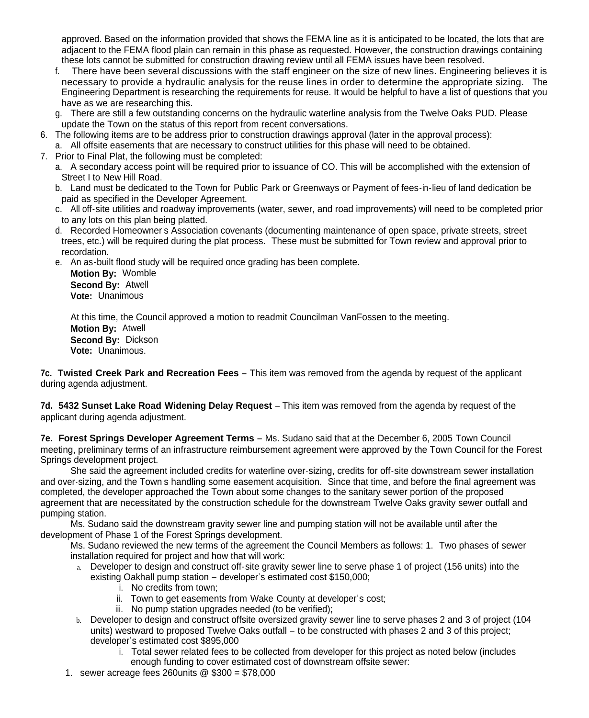approved. Based on the information provided that shows the FEMA line as it is anticipated to be located, the lots that are adjacent to the FEMA flood plain can remain in this phase as requested. However, the construction drawings containing these lots cannot be submitted for construction drawing review until all FEMA issues have been resolved.

- f. There have been several discussions with the staff engineer on the size of new lines. Engineering believes it is necessary to provide a hydraulic analysis for the reuse lines in order to determine the appropriate sizing. The Engineering Department is researching the requirements for reuse. It would be helpful to have a list of questions that you have as we are researching this.
- g. There are still a few outstanding concerns on the hydraulic waterline analysis from the Twelve Oaks PUD. Please update the Town on the status of this report from recent conversations.
- 6. The following items are to be address prior to construction drawings approval (later in the approval process): a. All offsite easements that are necessary to construct utilities for this phase will need to be obtained.
- 7. Prior to Final Plat, the following must be completed:
	- a. A secondary access point will be required prior to issuance of CO. This will be accomplished with the extension of Street I to New Hill Road.
	- b. Land must be dedicated to the Town for Public Park or Greenways or Payment of fees-in-lieu of land dedication be paid as specified in the Developer Agreement.
	- c. All off-site utilities and roadway improvements (water, sewer, and road improvements) will need to be completed prior to any lots on this plan being platted.
	- d. Recorded Homeowner's Association covenants (documenting maintenance of open space, private streets, street trees, etc.) will be required during the plat process. These must be submitted for Town review and approval prior to recordation.
	- e. An as-built flood study will be required once grading has been complete.

**Motion By:** Womble **Second By:** Atwell **Vote:** Unanimous

At this time, the Council approved a motion to readmit Councilman VanFossen to the meeting. **Motion By:** Atwell **Second By:** Dickson **Vote:** Unanimous.

**7c. Twisted Creek Park and Recreation Fees** – This item was removed from the agenda by request of the applicant during agenda adjustment.

**7d. 5432 Sunset Lake Road Widening Delay Request** – This item was removed from the agenda by request of the applicant during agenda adjustment.

**7e. Forest Springs Developer Agreement Terms** – Ms. Sudano said that at the December 6, 2005 Town Council meeting, preliminary terms of an infrastructure reimbursement agreement were approved by the Town Council for the Forest Springs development project.

She said the agreement included credits for waterline over-sizing, credits for off-site downstream sewer installation and over-sizing, and the Town's handling some easement acquisition. Since that time, and before the final agreement was completed, the developer approached the Town about some changes to the sanitary sewer portion of the proposed agreement that are necessitated by the construction schedule for the downstream Twelve Oaks gravity sewer outfall and pumping station.

Ms. Sudano said the downstream gravity sewer line and pumping station will not be available until after the development of Phase 1 of the Forest Springs development.

Ms. Sudano reviewed the new terms of the agreement the Council Members as follows: 1. Two phases of sewer installation required for project and how that will work:

- a. Developer to design and construct off-site gravity sewer line to serve phase 1 of project (156 units) into the existing Oakhall pump station – developer's estimated cost \$150,000;
	- i. No credits from town;
	- ii. Town to get easements from Wake County at developer's cost;
	- iii. No pump station upgrades needed (to be verified);
- b. Developer to design and construct offsite oversized gravity sewer line to serve phases 2 and 3 of project (104 units) westward to proposed Twelve Oaks outfall – to be constructed with phases 2 and 3 of this project; developer's estimated cost \$895,000
	- i. Total sewer related fees to be collected from developer for this project as noted below (includes enough funding to cover estimated cost of downstream offsite sewer:
- 1. sewer acreage fees 260units @ \$300 = \$78,000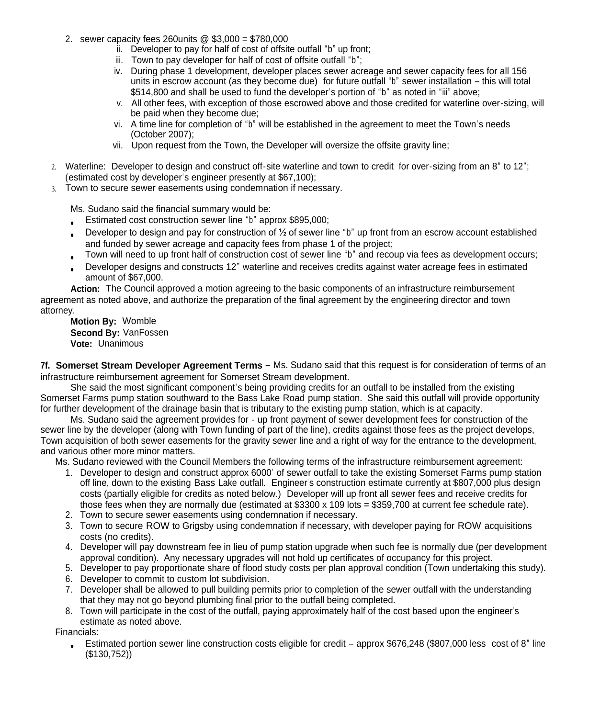- 2. sewer capacity fees 260units @ \$3,000 = \$780,000
	- ii. Developer to pay for half of cost of offsite outfall "b" up front;
	- iii. Town to pay developer for half of cost of offsite outfall "b":
	- iv. During phase 1 development, developer places sewer acreage and sewer capacity fees for all 156 units in escrow account (as they become due) for future outfall "b" sewer installation – this will total \$514,800 and shall be used to fund the developer's portion of "b" as noted in "iii" above:
	- v. All other fees, with exception of those escrowed above and those credited for waterline over-sizing, will be paid when they become due;
	- vi. A time line for completion of "b" will be established in the agreement to meet the Town's needs (October 2007);
	- vii. Upon request from the Town, the Developer will oversize the offsite gravity line;
- 2. Waterline: Developer to design and construct off-site waterline and town to credit for over-sizing from an 8" to 12"; (estimated cost by developer's engineer presently at \$67,100);
- 3. Town to secure sewer easements using condemnation if necessary.

Ms. Sudano said the financial summary would be:

- Estimated cost construction sewer line "b" approx \$895,000;
- Developer to design and pay for construction of ½ of sewer line "b" up front from an escrow account established and funded by sewer acreage and capacity fees from phase 1 of the project;
- Town will need to up front half of construction cost of sewer line "b" and recoup via fees as development occurs;
- Developer designs and constructs 12" waterline and receives credits against water acreage fees in estimated amount of \$67,000.

**Action:** The Council approved a motion agreeing to the basic components of an infrastructure reimbursement agreement as noted above, and authorize the preparation of the final agreement by the engineering director and town attorney.

**Motion By:** Womble **Second By:** VanFossen **Vote:** Unanimous

**7f. Somerset Stream Developer Agreement Terms** – Ms. Sudano said that this request is for consideration of terms of an infrastructure reimbursement agreement for Somerset Stream development.

She said the most significant component's being providing credits for an outfall to be installed from the existing Somerset Farms pump station southward to the Bass Lake Road pump station. She said this outfall will provide opportunity for further development of the drainage basin that is tributary to the existing pump station, which is at capacity.

Ms. Sudano said the agreement provides for - up front payment of sewer development fees for construction of the sewer line by the developer (along with Town funding of part of the line), credits against those fees as the project develops, Town acquisition of both sewer easements for the gravity sewer line and a right of way for the entrance to the development, and various other more minor matters.

Ms. Sudano reviewed with the Council Members the following terms of the infrastructure reimbursement agreement:

- 1. Developer to design and construct approx 6000' of sewer outfall to take the existing Somerset Farms pump station off line, down to the existing Bass Lake outfall. Engineer's construction estimate currently at \$807,000 plus design costs (partially eligible for credits as noted below.) Developer will up front all sewer fees and receive credits for those fees when they are normally due (estimated at \$3300 x 109 lots = \$359,700 at current fee schedule rate).
- 2. Town to secure sewer easements using condemnation if necessary.
- 3. Town to secure ROW to Grigsby using condemnation if necessary, with developer paying for ROW acquisitions costs (no credits).
- 4. Developer will pay downstream fee in lieu of pump station upgrade when such fee is normally due (per development approval condition). Any necessary upgrades will not hold up certificates of occupancy for this project.
- 5. Developer to pay proportionate share of flood study costs per plan approval condition (Town undertaking this study).
- 6. Developer to commit to custom lot subdivision.
- 7. Developer shall be allowed to pull building permits prior to completion of the sewer outfall with the understanding that they may not go beyond plumbing final prior to the outfall being completed.
- 8. Town will participate in the cost of the outfall, paying approximately half of the cost based upon the engineer's estimate as noted above.

Financials:

 Estimated portion sewer line construction costs eligible for credit – approx \$676,248 (\$807,000 less cost of 8" line (\$130,752))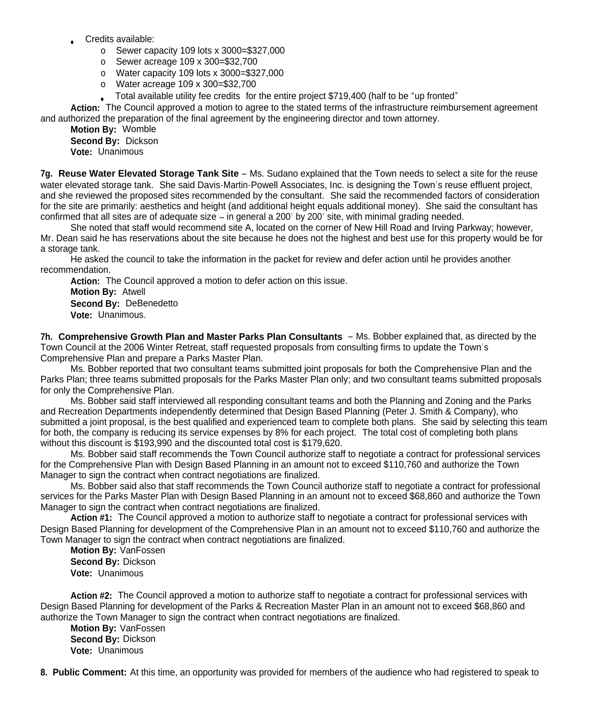- Credits available:
	- o Sewer capacity 109 lots x 3000=\$327,000
	- o Sewer acreage 109 x 300=\$32,700
	- o Water capacity 109 lots x 3000=\$327,000
	- o Water acreage 109 x 300=\$32,700
	- Total available utility fee credits for the entire project \$719,400 (half to be "up fronted"

**Action:** The Council approved a motion to agree to the stated terms of the infrastructure reimbursement agreement and authorized the preparation of the final agreement by the engineering director and town attorney.

**Motion By:** Womble **Second By:** Dickson

**Vote:** Unanimous

**7g. Reuse Water Elevated Storage Tank Site** – Ms. Sudano explained that the Town needs to select a site for the reuse water elevated storage tank. She said Davis-Martin-Powell Associates, Inc. is designing the Town's reuse effluent project, and she reviewed the proposed sites recommended by the consultant. She said the recommended factors of consideration for the site are primarily: aesthetics and height (and additional height equals additional money). She said the consultant has confirmed that all sites are of adequate size – in general a 200' by 200' site, with minimal grading needed.

She noted that staff would recommend site A, located on the corner of New Hill Road and Irving Parkway; however, Mr. Dean said he has reservations about the site because he does not the highest and best use for this property would be for a storage tank.

He asked the council to take the information in the packet for review and defer action until he provides another recommendation.

**Action:** The Council approved a motion to defer action on this issue. **Motion By:** Atwell **Second By:** DeBenedetto **Vote:** Unanimous.

**7h. Comprehensive Growth Plan and Master Parks Plan Consultants** – Ms. Bobber explained that, as directed by the Town Council at the 2006 Winter Retreat, staff requested proposals from consulting firms to update the Town's Comprehensive Plan and prepare a Parks Master Plan.

Ms. Bobber reported that two consultant teams submitted joint proposals for both the Comprehensive Plan and the Parks Plan; three teams submitted proposals for the Parks Master Plan only; and two consultant teams submitted proposals for only the Comprehensive Plan.

Ms. Bobber said staff interviewed all responding consultant teams and both the Planning and Zoning and the Parks and Recreation Departments independently determined that Design Based Planning (Peter J. Smith & Company), who submitted a joint proposal, is the best qualified and experienced team to complete both plans. She said by selecting this team for both, the company is reducing its service expenses by 8% for each project. The total cost of completing both plans without this discount is \$193,990 and the discounted total cost is \$179,620.

Ms. Bobber said staff recommends the Town Council authorize staff to negotiate a contract for professional services for the Comprehensive Plan with Design Based Planning in an amount not to exceed \$110,760 and authorize the Town Manager to sign the contract when contract negotiations are finalized.

Ms. Bobber said also that staff recommends the Town Council authorize staff to negotiate a contract for professional services for the Parks Master Plan with Design Based Planning in an amount not to exceed \$68,860 and authorize the Town Manager to sign the contract when contract negotiations are finalized.

**Action #1:** The Council approved a motion to authorize staff to negotiate a contract for professional services with Design Based Planning for development of the Comprehensive Plan in an amount not to exceed \$110,760 and authorize the Town Manager to sign the contract when contract negotiations are finalized.

**Motion By:** VanFossen **Second By:** Dickson **Vote:** Unanimous

**Action #2:** The Council approved a motion to authorize staff to negotiate a contract for professional services with Design Based Planning for development of the Parks & Recreation Master Plan in an amount not to exceed \$68,860 and authorize the Town Manager to sign the contract when contract negotiations are finalized.

**Motion By:** VanFossen **Second By:** Dickson **Vote:** Unanimous

**8. Public Comment:** At this time, an opportunity was provided for members of the audience who had registered to speak to